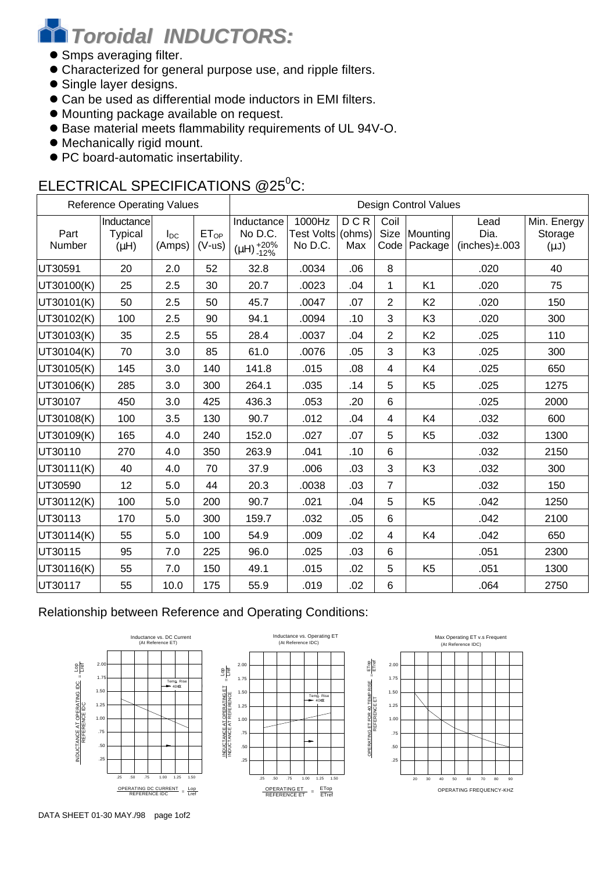# *Toroidal INDUCTORS:*

- **Smps averaging filter.**
- $\bullet$  Characterized for general purpose use, and ripple filters.
- Single layer designs.
- Can be used as differential mode inductors in EMI filters.
- $\bullet$  Mounting package available on request.
- l Base material meets flammability requirements of UL 94V-O.
- $\bullet$  Mechanically rigid mount.
- PC board-automatic insertability.

## ELECTRICAL SPECIFICATIONS @25<sup>0</sup>C:

| <b>Reference Operating Values</b> |                                    |                    | <b>Design Control Values</b> |                                                    |                                        |            |                          |                          |                                     |                                     |
|-----------------------------------|------------------------------------|--------------------|------------------------------|----------------------------------------------------|----------------------------------------|------------|--------------------------|--------------------------|-------------------------------------|-------------------------------------|
| Part<br>Number                    | Inductance<br>Typical<br>$(\mu H)$ | $I_{DC}$<br>(Amps) | ET <sub>OP</sub><br>$(V-us)$ | Inductance<br>No D.C.<br>$(\mu H)_{-12\%}^{+20\%}$ | 1000Hz<br>Test Volts (ohms)<br>No D.C. | DCR<br>Max | Coil<br>Code             | Size Mounting<br>Package | Lead<br>Dia.<br>$(inches) \pm .003$ | Min. Energy<br>Storage<br>$(\mu J)$ |
| UT30591                           | 20                                 | 2.0                | 52                           | 32.8                                               | .0034                                  | .06        | 8                        |                          | .020                                | 40                                  |
| UT30100(K)                        | 25                                 | 2.5                | 30                           | 20.7                                               | .0023                                  | .04        | 1                        | K <sub>1</sub>           | .020                                | 75                                  |
| UT30101(K)                        | 50                                 | 2.5                | 50                           | 45.7                                               | .0047                                  | .07        | 2                        | K <sub>2</sub>           | .020                                | 150                                 |
| UT30102(K)                        | 100                                | 2.5                | 90                           | 94.1                                               | .0094                                  | .10        | 3                        | K <sub>3</sub>           | .020                                | 300                                 |
| UT30103(K)                        | 35                                 | 2.5                | 55                           | 28.4                                               | .0037                                  | .04        | $\overline{2}$           | K <sub>2</sub>           | .025                                | 110                                 |
| UT30104(K)                        | 70                                 | 3.0                | 85                           | 61.0                                               | .0076                                  | .05        | 3                        | K <sub>3</sub>           | .025                                | 300                                 |
| UT30105(K)                        | 145                                | 3.0                | 140                          | 141.8                                              | .015                                   | .08        | 4                        | K4                       | .025                                | 650                                 |
| UT30106(K)                        | 285                                | 3.0                | 300                          | 264.1                                              | .035                                   | .14        | 5                        | K <sub>5</sub>           | .025                                | 1275                                |
| UT30107                           | 450                                | 3.0                | 425                          | 436.3                                              | .053                                   | .20        | $6\phantom{1}$           |                          | .025                                | 2000                                |
| UT30108(K)                        | 100                                | 3.5                | 130                          | 90.7                                               | .012                                   | .04        | $\overline{\mathcal{L}}$ | K4                       | .032                                | 600                                 |
| UT30109(K)                        | 165                                | 4.0                | 240                          | 152.0                                              | .027                                   | .07        | 5                        | K <sub>5</sub>           | .032                                | 1300                                |
| UT30110                           | 270                                | 4.0                | 350                          | 263.9                                              | .041                                   | .10        | $6\phantom{1}$           |                          | .032                                | 2150                                |
| UT30111(K)                        | 40                                 | 4.0                | 70                           | 37.9                                               | .006                                   | .03        | 3                        | K <sub>3</sub>           | .032                                | 300                                 |
| UT30590                           | 12                                 | 5.0                | 44                           | 20.3                                               | .0038                                  | .03        | $\overline{7}$           |                          | .032                                | 150                                 |
| UT30112(K)                        | 100                                | 5.0                | 200                          | 90.7                                               | .021                                   | .04        | 5                        | K <sub>5</sub>           | .042                                | 1250                                |
| UT30113                           | 170                                | 5.0                | 300                          | 159.7                                              | .032                                   | .05        | 6                        |                          | .042                                | 2100                                |
| UT30114(K)                        | 55                                 | 5.0                | 100                          | 54.9                                               | .009                                   | .02        | 4                        | K4                       | .042                                | 650                                 |
| UT30115                           | 95                                 | 7.0                | 225                          | 96.0                                               | .025                                   | .03        | 6                        |                          | .051                                | 2300                                |
| UT30116(K)                        | 55                                 | 7.0                | 150                          | 49.1                                               | .015                                   | .02        | 5                        | K <sub>5</sub>           | .051                                | 1300                                |
| UT30117                           | 55                                 | 10.0               | 175                          | 55.9                                               | .019                                   | .02        | 6                        |                          | .064                                | 2750                                |

### Relationship between Reference and Operating Conditions:







OPERATING ET FOR 40 TEMP RISE